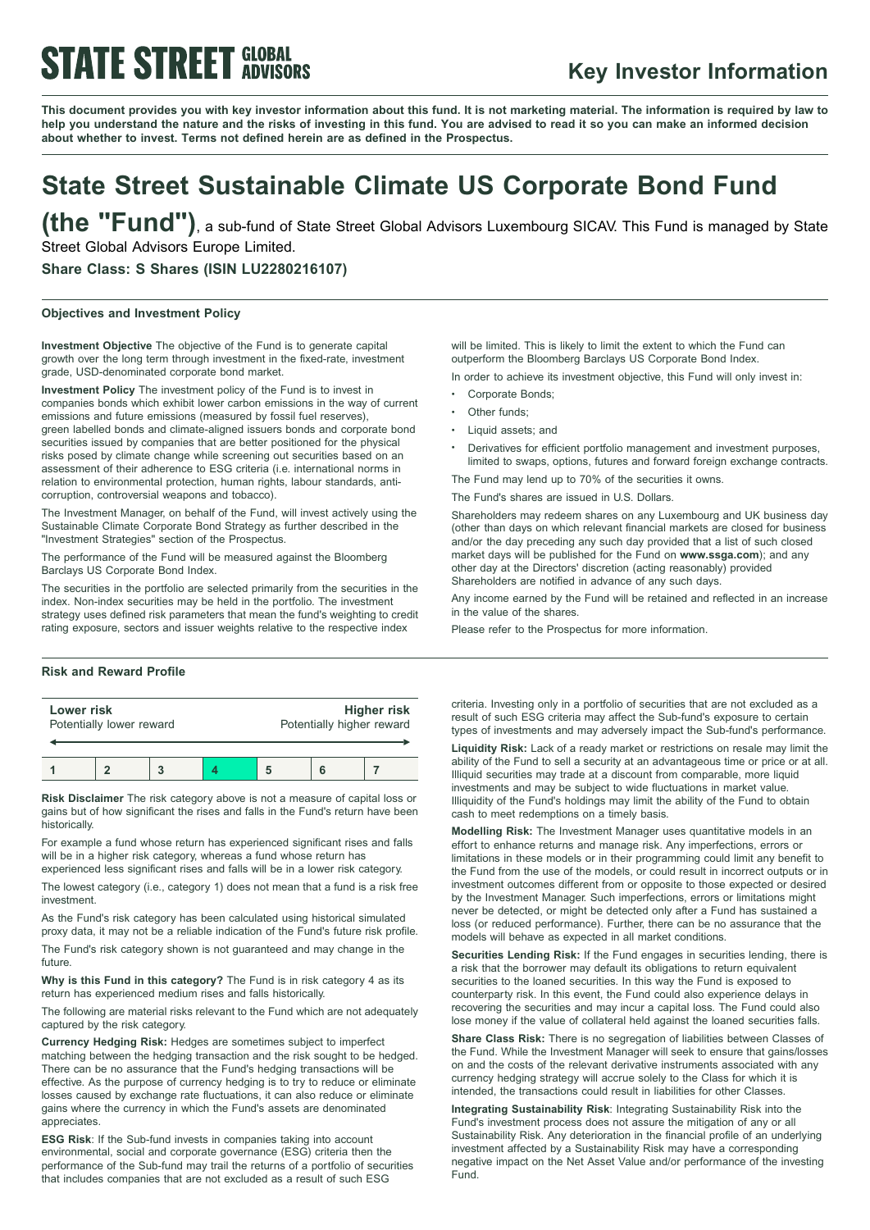# **STATE STREET GLOBAL**

### **Key Investor Information**

This document provides you with key investor information about this fund. It is not marketing material. The information is required by law to help you understand the nature and the risks of investing in this fund. You are advised to read it so you can make an informed decision **about whether to invest. Terms not defined herein are as defined in the Prospectus.**

## **State Street Sustainable Climate US Corporate Bond Fund**

**(the "Fund")**, <sup>a</sup> sub-fund of State Street Global Advisors Luxembourg SICAV. This Fund is managed by State Street Global Advisors Europe Limited.

**Share Class: S Shares (ISIN LU2280216107)**

#### **Objectives and Investment Policy**

**Investment Objective** The objective of the Fund is to generate capital growth over the long term through investment in the fixed-rate, investment grade, USD-denominated corporate bond market.

**Investment Policy** The investment policy of the Fund is to invest in companies bonds which exhibit lower carbon emissions in the way of current emissions and future emissions (measured by fossil fuel reserves), green labelled bonds and climate-aligned issuers bonds and corporate bond securities issued by companies that are better positioned for the physical risks posed by climate change while screening out securities based on an assessment of their adherence to ESG criteria (i.e. international norms in relation to environmental protection, human rights, labour standards, anticorruption, controversial weapons and tobacco).

The Investment Manager, on behalf of the Fund, will invest actively using the Sustainable Climate Corporate Bond Strategy as further described in the "Investment Strategies" section of the Prospectus.

The performance of the Fund will be measured against the Bloomberg Barclays US Corporate Bond Index.

The securities in the portfolio are selected primarily from the securities in the index. Non-index securities may be held in the portfolio. The investment strategy uses defined risk parameters that mean the fund's weighting to credit rating exposure, sectors and issuer weights relative to the respective index

### **Risk and Reward Profile**

| Lower risk               |  |  |  | <b>Higher risk</b>        |  |  |
|--------------------------|--|--|--|---------------------------|--|--|
| Potentially lower reward |  |  |  | Potentially higher reward |  |  |
|                          |  |  |  |                           |  |  |

**Risk Disclaimer** The risk category above is not a measure of capital loss or gains but of how significant the rises and falls in the Fund's return have been historically.

For example a fund whose return has experienced significant rises and falls will be in a higher risk category, whereas a fund whose return has experienced less significant rises and falls will be in a lower risk category.

The lowest category (i.e., category 1) does not mean that a fund is a risk free investment.

As the Fund's risk category has been calculated using historical simulated proxy data, it may not be a reliable indication of the Fund's future risk profile.

The Fund's risk category shown is not guaranteed and may change in the future.

**Why is this Fund in this category?** The Fund is in risk category 4 as its return has experienced medium rises and falls historically.

The following are material risks relevant to the Fund which are not adequately captured by the risk category.

**Currency Hedging Risk:** Hedges are sometimes subject to imperfect matching between the hedging transaction and the risk sought to be hedged. There can be no assurance that the Fund's hedging transactions will be effective. As the purpose of currency hedging is to try to reduce or eliminate losses caused by exchange rate fluctuations, it can also reduce or eliminate gains where the currency in which the Fund's assets are denominated appreciates.

**ESG Risk**: If the Sub-fund invests in companies taking into account environmental, social and corporate governance (ESG) criteria then the performance of the Sub-fund may trail the returns of a portfolio of securities that includes companies that are not excluded as a result of such ESG

will be limited. This is likely to limit the extent to which the Fund can outperform the Bloomberg Barclays US Corporate Bond Index.

In order to achieve its investment objective, this Fund will only invest in:

- Corporate Bonds:
- Other funds:
- Liquid assets: and
- <sup>b</sup> Derivatives for efficient portfolio management and investment purposes, limited to swaps, options, futures and forward foreign exchange contracts.

The Fund may lend up to 70% of the securities it owns.

The Fund's shares are issued in U.S. Dollars.

Shareholders may redeem shares on any Luxembourg and UK business day (other than days on which relevant financial markets are closed for business and/or the day preceding any such day provided that a list of such closed market days will be published for the Fund on **www.ssga.com**); and any other day at the Directors' discretion (acting reasonably) provided Shareholders are notified in advance of any such days.

Any income earned by the Fund will be retained and reflected in an increase in the value of the shares.

Please refer to the Prospectus for more information.

criteria. Investing only in a portfolio of securities that are not excluded as a result of such ESG criteria may affect the Sub-fund's exposure to certain types of investments and may adversely impact the Sub-fund's performance.

**Liquidity Risk:** Lack of a ready market or restrictions on resale may limit the ability of the Fund to sell a security at an advantageous time or price or at all. Illiquid securities may trade at a discount from comparable, more liquid investments and may be subject to wide fluctuations in market value. Illiquidity of the Fund's holdings may limit the ability of the Fund to obtain cash to meet redemptions on a timely basis.

**Modelling Risk:** The Investment Manager uses quantitative models in an effort to enhance returns and manage risk. Any imperfections, errors or limitations in these models or in their programming could limit any benefit to the Fund from the use of the models, or could result in incorrect outputs or in investment outcomes different from or opposite to those expected or desired by the Investment Manager. Such imperfections, errors or limitations might never be detected, or might be detected only after a Fund has sustained a loss (or reduced performance). Further, there can be no assurance that the models will behave as expected in all market conditions.

**Securities Lending Risk:** If the Fund engages in securities lending, there is a risk that the borrower may default its obligations to return equivalent securities to the loaned securities. In this way the Fund is exposed to counterparty risk. In this event, the Fund could also experience delays in recovering the securities and may incur a capital loss. The Fund could also lose money if the value of collateral held against the loaned securities falls.

**Share Class Risk:** There is no segregation of liabilities between Classes of the Fund. While the Investment Manager will seek to ensure that gains/losses on and the costs of the relevant derivative instruments associated with any currency hedging strategy will accrue solely to the Class for which it is intended, the transactions could result in liabilities for other Classes.

**Integrating Sustainability Risk**: Integrating Sustainability Risk into the Fund's investment process does not assure the mitigation of any or all Sustainability Risk. Any deterioration in the financial profile of an underlying investment affected by a Sustainability Risk may have a corresponding negative impact on the Net Asset Value and/or performance of the investing Fund.